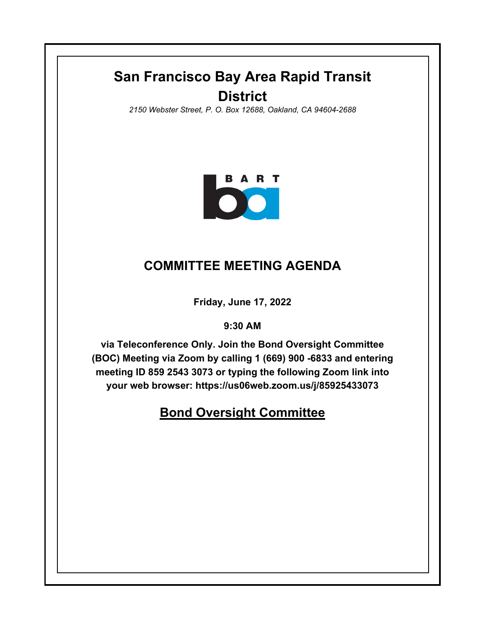## **San Francisco Bay Area Rapid Transit District**

*2150 Webster Street, P. O. Box 12688, Oakland, CA 94604-2688*



## **COMMITTEE MEETING AGENDA**

**Friday, June 17, 2022**

**9:30 AM**

**via Teleconference Only. Join the Bond Oversight Committee (BOC) Meeting via Zoom by calling 1 (669) 900 -6833 and entering meeting ID 859 2543 3073 or typing the following Zoom link into your web browser: https://us06web.zoom.us/j/85925433073**

## **Bond Oversight Committee**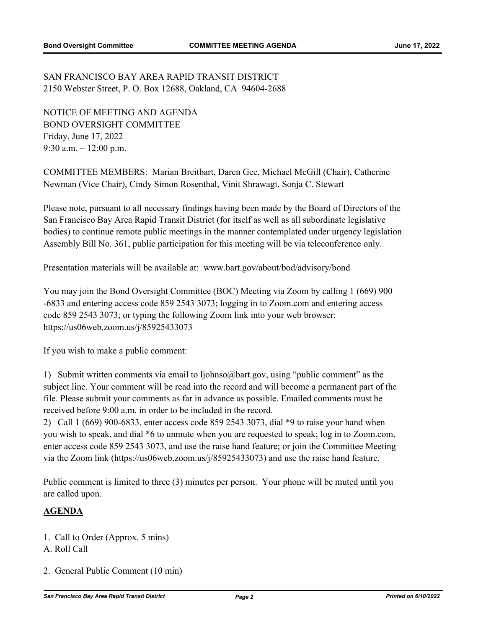SAN FRANCISCO BAY AREA RAPID TRANSIT DISTRICT 2150 Webster Street, P. O. Box 12688, Oakland, CA 94604-2688

NOTICE OF MEETING AND AGENDA BOND OVERSIGHT COMMITTEE Friday, June 17, 2022 9:30 a.m. – 12:00 p.m.

COMMITTEE MEMBERS: Marian Breitbart, Daren Gee, Michael McGill (Chair), Catherine Newman (Vice Chair), Cindy Simon Rosenthal, Vinit Shrawagi, Sonja C. Stewart

Please note, pursuant to all necessary findings having been made by the Board of Directors of the San Francisco Bay Area Rapid Transit District (for itself as well as all subordinate legislative bodies) to continue remote public meetings in the manner contemplated under urgency legislation Assembly Bill No. 361, public participation for this meeting will be via teleconference only.

Presentation materials will be available at: www.bart.gov/about/bod/advisory/bond

You may join the Bond Oversight Committee (BOC) Meeting via Zoom by calling 1 (669) 900 -6833 and entering access code 859 2543 3073; logging in to Zoom.com and entering access code 859 2543 3073; or typing the following Zoom link into your web browser: https://us06web.zoom.us/j/85925433073

If you wish to make a public comment:

1) Submit written comments via email to ljohnso@bart.gov, using "public comment" as the subject line. Your comment will be read into the record and will become a permanent part of the file. Please submit your comments as far in advance as possible. Emailed comments must be received before 9:00 a.m. in order to be included in the record.

2) Call 1 (669) 900-6833, enter access code 859 2543 3073, dial \*9 to raise your hand when you wish to speak, and dial \*6 to unmute when you are requested to speak; log in to Zoom.com, enter access code 859 2543 3073, and use the raise hand feature; or join the Committee Meeting via the Zoom link (https://us06web.zoom.us/j/85925433073) and use the raise hand feature.

Public comment is limited to three (3) minutes per person. Your phone will be muted until you are called upon.

## **AGENDA**

- 1. Call to Order (Approx. 5 mins)
- A. Roll Call
- 2. General Public Comment (10 min)